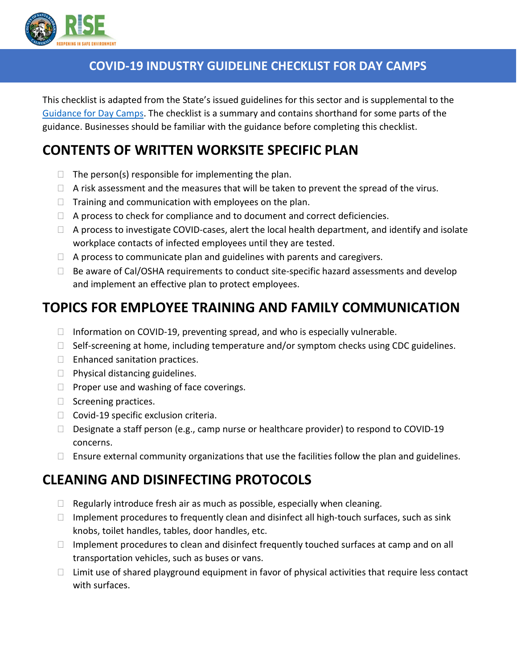

#### **COVID-19 INDUSTRY GUIDELINE CHECKLIST FOR DAY CAMPS**

This checklist is adapted from the State's issued guidelines for this sector and is supplemental to the [Guidance for Day Camps.](http://covid19.ca.gov/pdf/guidance-daycamps.pdf) The checklist is a summary and contains shorthand for some parts of the guidance. Businesses should be familiar with the guidance before completing this checklist.

# **CONTENTS OF WRITTEN WORKSITE SPECIFIC PLAN**

- $\Box$  The person(s) responsible for implementing the plan.
- $\Box$  A risk assessment and the measures that will be taken to prevent the spread of the virus.
- $\Box$  Training and communication with employees on the plan.
- $\Box$  A process to check for compliance and to document and correct deficiencies.
- $\Box$  A process to investigate COVID-cases, alert the local health department, and identify and isolate workplace contacts of infected employees until they are tested.
- $\Box$  A process to communicate plan and guidelines with parents and caregivers.
- $\Box$  Be aware of Cal/OSHA requirements to conduct site-specific hazard assessments and develop and implement an effective plan to protect employees.

# **TOPICS FOR EMPLOYEE TRAINING AND FAMILY COMMUNICATION**

- $\Box$  Information on COVID-19, preventing spread, and who is especially vulnerable.
- $\Box$  Self-screening at home, including temperature and/or symptom checks using CDC guidelines.
- $\Box$  Enhanced sanitation practices.
- $\Box$  Physical distancing guidelines.
- $\Box$  Proper use and washing of face coverings.
- $\Box$  Screening practices.
- $\Box$  Covid-19 specific exclusion criteria.
- $\Box$  Designate a staff person (e.g., camp nurse or healthcare provider) to respond to COVID-19 concerns.
- $\Box$  Ensure external community organizations that use the facilities follow the plan and guidelines.

# **CLEANING AND DISINFECTING PROTOCOLS**

- $\Box$  Regularly introduce fresh air as much as possible, especially when cleaning.
- $\Box$  Implement procedures to frequently clean and disinfect all high-touch surfaces, such as sink knobs, toilet handles, tables, door handles, etc.
- $\Box$  Implement procedures to clean and disinfect frequently touched surfaces at camp and on all transportation vehicles, such as buses or vans.
- $\Box$  Limit use of shared playground equipment in favor of physical activities that require less contact with surfaces.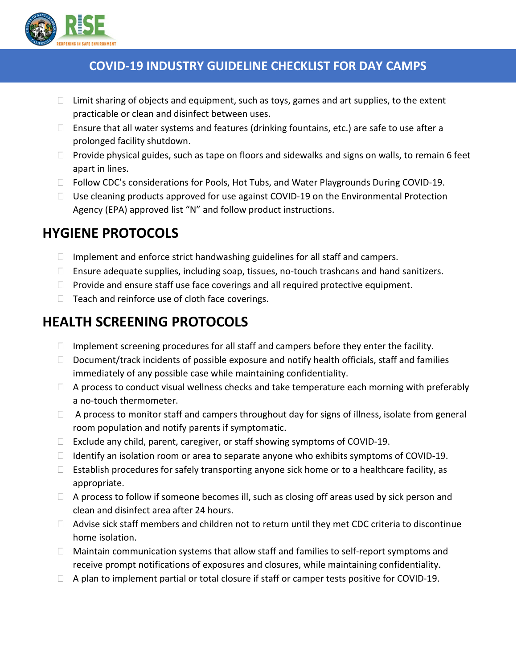

#### **COVID-19 INDUSTRY GUIDELINE CHECKLIST FOR DAY CAMPS**

- $\Box$  Limit sharing of objects and equipment, such as toys, games and art supplies, to the extent practicable or clean and disinfect between uses.
- $\Box$  Ensure that all water systems and features (drinking fountains, etc.) are safe to use after a prolonged facility shutdown.
- $\Box$  Provide physical guides, such as tape on floors and sidewalks and signs on walls, to remain 6 feet apart in lines.
- $\Box$  Follow CDC's considerations for Pools, Hot Tubs, and Water Playgrounds During COVID-19.
- $\Box$  Use cleaning products approved for use against COVID-19 on the Environmental Protection Agency (EPA) approved list "N" and follow product instructions.

## **HYGIENE PROTOCOLS**

- $\Box$  Implement and enforce strict handwashing guidelines for all staff and campers.
- $\Box$  Ensure adequate supplies, including soap, tissues, no-touch trashcans and hand sanitizers.
- $\Box$  Provide and ensure staff use face coverings and all required protective equipment.
- $\Box$  Teach and reinforce use of cloth face coverings.

### **HEALTH SCREENING PROTOCOLS**

- $\Box$  Implement screening procedures for all staff and campers before they enter the facility.
- $\Box$  Document/track incidents of possible exposure and notify health officials, staff and families immediately of any possible case while maintaining confidentiality.
- $\Box$  A process to conduct visual wellness checks and take temperature each morning with preferably a no-touch thermometer.
- $\Box$  A process to monitor staff and campers throughout day for signs of illness, isolate from general room population and notify parents if symptomatic.
- $\Box$  Exclude any child, parent, caregiver, or staff showing symptoms of COVID-19.
- $\Box$  Identify an isolation room or area to separate anyone who exhibits symptoms of COVID-19.
- $\Box$  Establish procedures for safely transporting anyone sick home or to a healthcare facility, as appropriate.
- $\Box$  A process to follow if someone becomes ill, such as closing off areas used by sick person and clean and disinfect area after 24 hours.
- $\Box$  Advise sick staff members and children not to return until they met CDC criteria to discontinue home isolation.
- $\Box$  Maintain communication systems that allow staff and families to self-report symptoms and receive prompt notifications of exposures and closures, while maintaining confidentiality.
- $\Box$  A plan to implement partial or total closure if staff or camper tests positive for COVID-19.